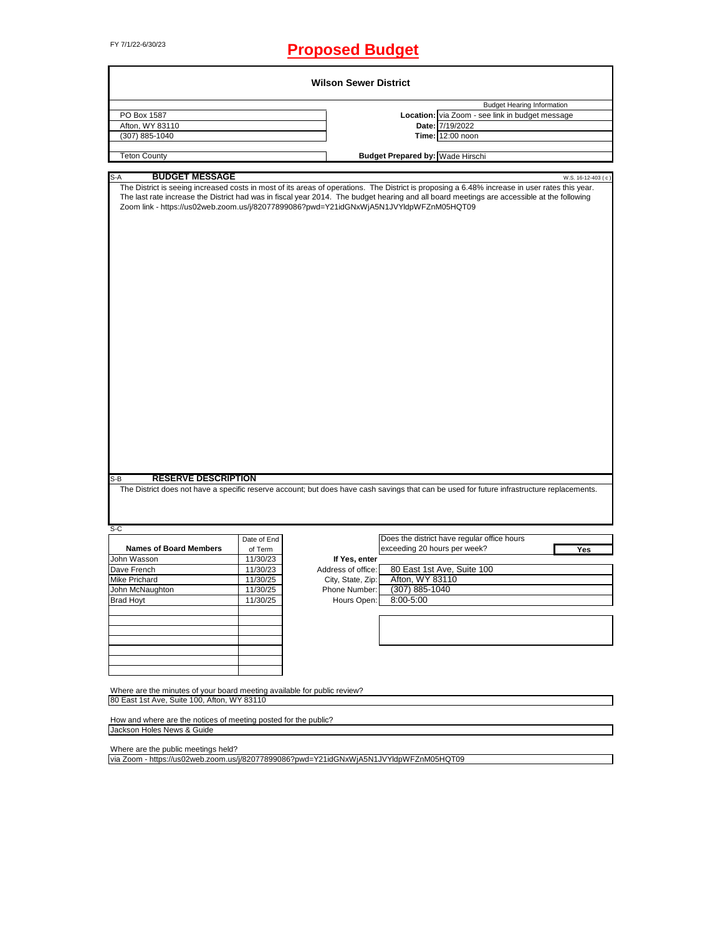# FY 7/1/22-6/30/23 **Proposed Budget**

|                                                                                                                                                                                                                                                                                                                                                                                                                                                                                                                                                                                                               |             | <b>Wilson Sewer District</b> |                                         |                                                 |                    |
|---------------------------------------------------------------------------------------------------------------------------------------------------------------------------------------------------------------------------------------------------------------------------------------------------------------------------------------------------------------------------------------------------------------------------------------------------------------------------------------------------------------------------------------------------------------------------------------------------------------|-------------|------------------------------|-----------------------------------------|-------------------------------------------------|--------------------|
|                                                                                                                                                                                                                                                                                                                                                                                                                                                                                                                                                                                                               |             |                              |                                         | <b>Budget Hearing Information</b>               |                    |
| PO Box 1587                                                                                                                                                                                                                                                                                                                                                                                                                                                                                                                                                                                                   |             |                              |                                         | Location: via Zoom - see link in budget message |                    |
| Afton, WY 83110                                                                                                                                                                                                                                                                                                                                                                                                                                                                                                                                                                                               |             |                              |                                         | Date: 7/19/2022                                 |                    |
| (307) 885-1040                                                                                                                                                                                                                                                                                                                                                                                                                                                                                                                                                                                                |             |                              |                                         | Time: 12:00 noon                                |                    |
| <b>Teton County</b>                                                                                                                                                                                                                                                                                                                                                                                                                                                                                                                                                                                           |             |                              | <b>Budget Prepared by: Wade Hirschi</b> |                                                 |                    |
|                                                                                                                                                                                                                                                                                                                                                                                                                                                                                                                                                                                                               |             |                              |                                         |                                                 |                    |
| <b>BUDGET MESSAGE</b><br>$S-A$<br>The District is seeing increased costs in most of its areas of operations. The District is proposing a 6.48% increase in user rates this year.<br>The last rate increase the District had was in fiscal year 2014. The budget hearing and all board meetings are accessible at the following<br>Zoom link - https://us02web.zoom.us/j/82077899086?pwd=Y21idGNxWjA5N1JVYldpWFZnM05HQT09<br><b>RESERVE DESCRIPTION</b><br>$S-B$<br>The District does not have a specific reserve account; but does have cash savings that can be used for future infrastructure replacements. |             |                              |                                         |                                                 | W.S. 16-12-403 (c) |
|                                                                                                                                                                                                                                                                                                                                                                                                                                                                                                                                                                                                               |             |                              |                                         |                                                 |                    |
| S-C                                                                                                                                                                                                                                                                                                                                                                                                                                                                                                                                                                                                           |             |                              |                                         |                                                 |                    |
|                                                                                                                                                                                                                                                                                                                                                                                                                                                                                                                                                                                                               | Date of End |                              |                                         | Does the district have regular office hours     |                    |
| <b>Names of Board Members</b>                                                                                                                                                                                                                                                                                                                                                                                                                                                                                                                                                                                 | of Term     |                              | exceeding 20 hours per week?            |                                                 | Yes                |
| John Wasson                                                                                                                                                                                                                                                                                                                                                                                                                                                                                                                                                                                                   | 11/30/23    | If Yes, enter                |                                         |                                                 |                    |
| Dave French                                                                                                                                                                                                                                                                                                                                                                                                                                                                                                                                                                                                   | 11/30/23    | Address of office:           |                                         | 80 East 1st Ave, Suite 100                      |                    |
| Mike Prichard                                                                                                                                                                                                                                                                                                                                                                                                                                                                                                                                                                                                 | 11/30/25    | City, State, Zip:            | Afton, WY 83110                         |                                                 |                    |
| John McNaughton                                                                                                                                                                                                                                                                                                                                                                                                                                                                                                                                                                                               | 11/30/25    | Phone Number:                | (307) 885-1040                          |                                                 |                    |
| Brad Hoyt                                                                                                                                                                                                                                                                                                                                                                                                                                                                                                                                                                                                     | 11/30/25    | Hours Open:                  | 8:00-5:00                               |                                                 |                    |
|                                                                                                                                                                                                                                                                                                                                                                                                                                                                                                                                                                                                               |             |                              |                                         |                                                 |                    |
|                                                                                                                                                                                                                                                                                                                                                                                                                                                                                                                                                                                                               |             |                              |                                         |                                                 |                    |
|                                                                                                                                                                                                                                                                                                                                                                                                                                                                                                                                                                                                               |             |                              |                                         |                                                 |                    |
|                                                                                                                                                                                                                                                                                                                                                                                                                                                                                                                                                                                                               |             |                              |                                         |                                                 |                    |
|                                                                                                                                                                                                                                                                                                                                                                                                                                                                                                                                                                                                               |             |                              |                                         |                                                 |                    |
|                                                                                                                                                                                                                                                                                                                                                                                                                                                                                                                                                                                                               |             |                              |                                         |                                                 |                    |
| Where are the minutes of your board meeting available for public review?                                                                                                                                                                                                                                                                                                                                                                                                                                                                                                                                      |             |                              |                                         |                                                 |                    |
| 80 East 1st Ave, Suite 100, Afton, WY 83110                                                                                                                                                                                                                                                                                                                                                                                                                                                                                                                                                                   |             |                              |                                         |                                                 |                    |
| How and where are the notices of meeting posted for the public?                                                                                                                                                                                                                                                                                                                                                                                                                                                                                                                                               |             |                              |                                         |                                                 |                    |
| Jackson Holes News & Guide                                                                                                                                                                                                                                                                                                                                                                                                                                                                                                                                                                                    |             |                              |                                         |                                                 |                    |
| Where are the public meetings held?                                                                                                                                                                                                                                                                                                                                                                                                                                                                                                                                                                           |             |                              |                                         |                                                 |                    |
| via Zoom - https://us02web.zoom.us/j/82077899086?pwd=Y21idGNxWjA5N1JVYldpWFZnM05HQT09                                                                                                                                                                                                                                                                                                                                                                                                                                                                                                                         |             |                              |                                         |                                                 |                    |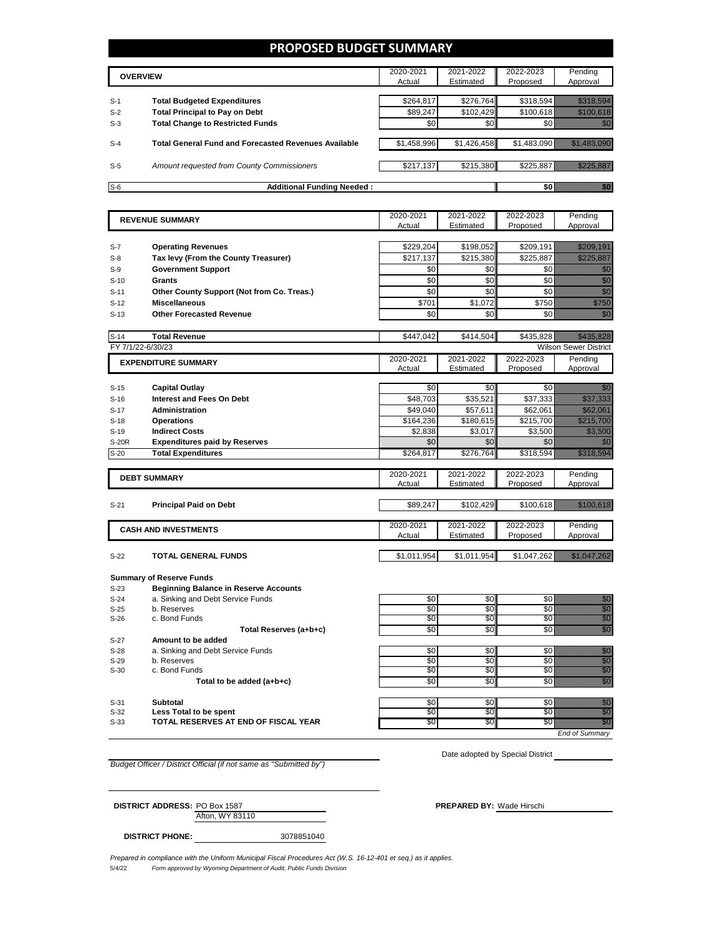## **PROPOSED BUDGET SUMMARY**

|       | <b>OVERVIEW</b>                                             | 2020-2021<br>Actual | 2021-2022<br>Estimated | 2022-2023<br>Proposed | Pending<br>Approval |
|-------|-------------------------------------------------------------|---------------------|------------------------|-----------------------|---------------------|
|       |                                                             |                     |                        |                       |                     |
| $S-1$ | <b>Total Budgeted Expenditures</b>                          | \$264,817           | \$276.764              |                       | \$318,594           |
| $S-2$ | <b>Total Principal to Pay on Debt</b>                       | \$89,247            | \$102.429              | \$100.618             |                     |
| $S-3$ | <b>Total Change to Restricted Funds</b>                     | \$0                 | \$0                    |                       |                     |
| $S-4$ | <b>Total General Fund and Forecasted Revenues Available</b> | \$1,458,996         | \$1,426,458            |                       | \$1,483,090         |
| $S-5$ | Amount requested from County Commissioners                  | \$217,137           | \$215,380              | \$225,887             |                     |
| $S-6$ | <b>Additional Funding Needed:</b>                           |                     |                        |                       |                     |

|              | <b>REVENUE SUMMARY</b>                       | 2020-2021   | 2021-2022   | 2022-2023   | Pending                                                                                                                                                                                                                         |
|--------------|----------------------------------------------|-------------|-------------|-------------|---------------------------------------------------------------------------------------------------------------------------------------------------------------------------------------------------------------------------------|
|              |                                              | Actual      | Estimated   | Proposed    | Approval                                                                                                                                                                                                                        |
|              |                                              |             |             |             |                                                                                                                                                                                                                                 |
| $S-7$        | <b>Operating Revenues</b>                    | \$229,204   | \$198,052   | \$209,191   | <u> Tilling och f</u> ören                                                                                                                                                                                                      |
| $S-8$        | Tax levy (From the County Treasurer)         | \$217,137   | \$215,380   | \$225.887   | a alikuwa wa                                                                                                                                                                                                                    |
| $S-9$        | <b>Government Support</b>                    | \$0         | \$0         | \$0         | enne<br>Mille                                                                                                                                                                                                                   |
| $S-10$       | <b>Grants</b>                                | \$0         | \$0         | \$0         | e de la construcción de la construcción de la construcción de la construcción de la construcción de la construcció<br>Construcción                                                                                              |
| $S-11$       | Other County Support (Not from Co. Treas.)   | \$0         | \$0         | \$0         |                                                                                                                                                                                                                                 |
| $S-12$       | <b>Miscellaneous</b>                         | \$701       | \$1,072     | \$750       | enang                                                                                                                                                                                                                           |
| $S-13$       | <b>Other Forecasted Revenue</b>              | \$0         | \$0         | \$0         | en de la familie de la familie de la familie de la familie de la familie de la familie de la familie de la fa<br>Constitution de la familie de la familie de la familie de la familie de la familie de la familie de la familie |
|              |                                              |             |             |             |                                                                                                                                                                                                                                 |
| $S-14$       | <b>Total Revenue</b>                         | \$447,042   | \$414,504   |             | \$435,828                                                                                                                                                                                                                       |
|              | FY 7/1/22-6/30/23                            |             |             |             | <b>Wilson Sewer District</b>                                                                                                                                                                                                    |
|              | <b>EXPENDITURE SUMMARY</b>                   | 2020-2021   | 2021-2022   | 2022-2023   | Pending                                                                                                                                                                                                                         |
|              |                                              | Actual      | Estimated   | Proposed    | Approval                                                                                                                                                                                                                        |
|              |                                              |             |             |             |                                                                                                                                                                                                                                 |
| $S-15$       | <b>Capital Outlay</b>                        | \$0         | \$0         | \$0         |                                                                                                                                                                                                                                 |
| $S-16$       | Interest and Fees On Debt                    | \$48,703    | \$35,521    | \$37,333    | <u>ili Martin </u>                                                                                                                                                                                                              |
| $S-17$       | Administration                               | \$49,040    | \$57,611    | \$62,061    | <u> Hillingar</u>                                                                                                                                                                                                               |
| $S-18$       | <b>Operations</b><br><b>Indirect Costs</b>   | \$164,236   | \$180,615   | \$215,700   | <u> Kilimilik K</u>                                                                                                                                                                                                             |
| $S-19$       |                                              | \$2,838     | \$3,017     | \$3,500     | <u> Hillings Sta</u>                                                                                                                                                                                                            |
| <b>S-20R</b> | <b>Expenditures paid by Reserves</b>         | \$0         | \$0         | \$0         |                                                                                                                                                                                                                                 |
| $S-20$       | <b>Total Expenditures</b>                    | \$264,817   | \$276,764   | \$318,594   | <u>i ka matang ang pag</u>                                                                                                                                                                                                      |
|              |                                              | 2020-2021   | 2021-2022   | 2022-2023   | Pending                                                                                                                                                                                                                         |
|              | <b>DEBT SUMMARY</b>                          | Actual      | Estimated   | Proposed    | Approval                                                                                                                                                                                                                        |
|              |                                              |             |             |             |                                                                                                                                                                                                                                 |
| $S-21$       | <b>Principal Paid on Debt</b>                | \$89,247    | \$102,429   | \$100,618   |                                                                                                                                                                                                                                 |
|              |                                              |             |             |             |                                                                                                                                                                                                                                 |
|              | <b>CASH AND INVESTMENTS</b>                  | 2020-2021   | 2021-2022   | 2022-2023   | Pending                                                                                                                                                                                                                         |
|              |                                              | Actual      | Estimated   | Proposed    | Approval                                                                                                                                                                                                                        |
|              |                                              |             |             |             |                                                                                                                                                                                                                                 |
| $S-22$       | TOTAL GENERAL FUNDS                          | \$1,011,954 | \$1,011,954 | \$1,047,262 | <u> Hillingan yang berlangsung dalam bagi dalam dalam dalam bagi dalam dalam dalam dalam dalam dalam dalam dalam </u>                                                                                                           |
|              | <b>Summary of Reserve Funds</b>              |             |             |             |                                                                                                                                                                                                                                 |
| $S-23$       | <b>Beginning Balance in Reserve Accounts</b> |             |             |             |                                                                                                                                                                                                                                 |
| $S-24$       | a. Sinking and Debt Service Funds            | \$0         | \$0         | \$0         |                                                                                                                                                                                                                                 |
| $S-25$       | b. Reserves                                  | \$0         | \$0         | \$0         | e de filología<br>Albania                                                                                                                                                                                                       |
| $C$ $26$     | c. Bond Eunde                                | ¢π          | ເ∩∥         | €∩ໂ         |                                                                                                                                                                                                                                 |

| ںے۔ں   | <b>D. IVGSEIVGS</b>                  | ູ∪ບ | ⊍∪⊪              | ູບບ |  |
|--------|--------------------------------------|-----|------------------|-----|--|
| $S-26$ | c. Bond Funds                        | \$0 | \$0 <sub>1</sub> |     |  |
|        | Total Reserves (a+b+c)               | \$0 | \$0              |     |  |
| $S-27$ | Amount to be added                   |     |                  |     |  |
| $S-28$ | a. Sinking and Debt Service Funds    | \$0 | \$0              |     |  |
| $S-29$ | b. Reserves                          | \$0 | \$0              |     |  |
| $S-30$ | c. Bond Funds                        | \$0 | \$0 <sub>1</sub> |     |  |
|        | Total to be added (a+b+c)            | \$0 | \$0              |     |  |
|        |                                      |     |                  |     |  |
| $S-31$ | Subtotal                             | \$0 | \$0              |     |  |
| $S-32$ | Less Total to be spent               | \$0 | \$0              |     |  |
| $S-33$ | TOTAL RESERVES AT END OF FISCAL YEAR | \$0 | \$Ο Γ            |     |  |

*End of Summary*

*Budget Officer / District Official (if not same as "Submitted by")*

Date adopted by Special District

Afton, WY 83110 **DISTRICT ADDRESS:** PO Box 1587 **PREPARED BY:** Wade Hirschi

**DISTRICT PHONE:** 3078851040

5/4/22 *Form approved by Wyoming Department of Audit, Public Funds Division Prepared in compliance with the Uniform Municipal Fiscal Procedures Act (W.S. 16-12-401 et seq.) as it applies.*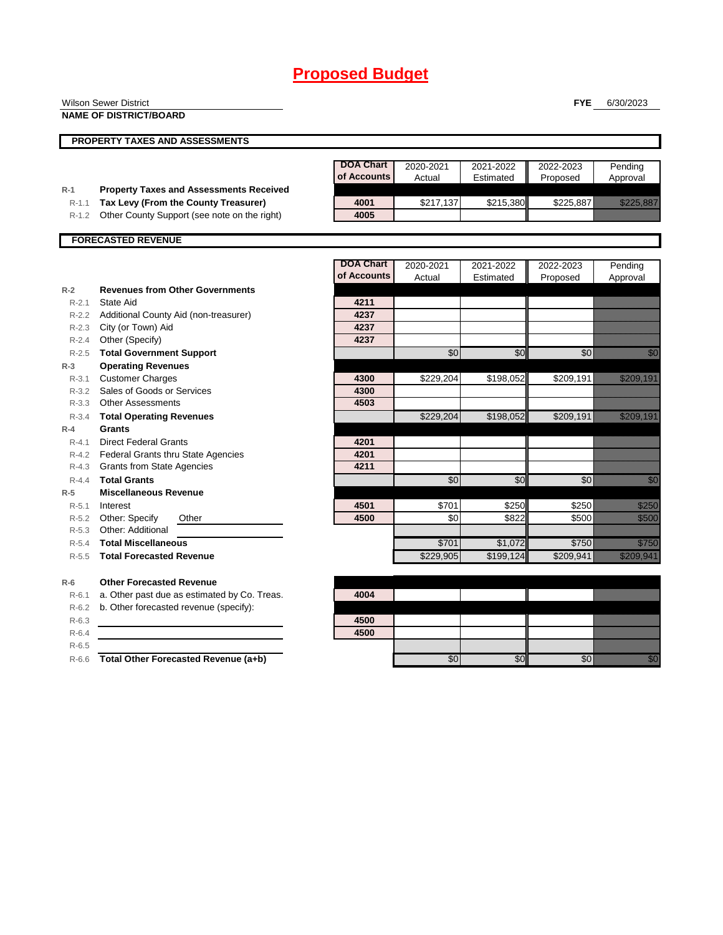|           | <b>Wilson Sewer District</b>                   |                  |                 |                 | <b>FYE</b> | 6/30/2023                                                                                                                                                                                                                        |
|-----------|------------------------------------------------|------------------|-----------------|-----------------|------------|----------------------------------------------------------------------------------------------------------------------------------------------------------------------------------------------------------------------------------|
|           | <b>NAME OF DISTRICT/BOARD</b>                  |                  |                 |                 |            |                                                                                                                                                                                                                                  |
|           |                                                |                  |                 |                 |            |                                                                                                                                                                                                                                  |
|           | PROPERTY TAXES AND ASSESSMENTS                 |                  |                 |                 |            |                                                                                                                                                                                                                                  |
|           |                                                | <b>DOA Chart</b> | 2020-2021       | 2021-2022       | 2022-2023  | Pending                                                                                                                                                                                                                          |
|           |                                                | of Accounts      | Actual          | Estimated       | Proposed   | Approval                                                                                                                                                                                                                         |
| $R-1$     | <b>Property Taxes and Assessments Received</b> |                  |                 |                 |            |                                                                                                                                                                                                                                  |
| $R-1.1$   | Tax Levy (From the County Treasurer)           | 4001             | \$217,137       | \$215,380       | \$225,887  | <u>Tilling till e</u>                                                                                                                                                                                                            |
| R-1.2     | Other County Support (see note on the right)   | 4005             |                 |                 |            |                                                                                                                                                                                                                                  |
|           | <b>FORECASTED REVENUE</b>                      |                  |                 |                 |            |                                                                                                                                                                                                                                  |
|           |                                                |                  |                 |                 |            |                                                                                                                                                                                                                                  |
|           |                                                | <b>DOA Chart</b> | 2020-2021       | 2021-2022       | 2022-2023  | Pending                                                                                                                                                                                                                          |
|           |                                                | of Accounts      | Actual          | Estimated       | Proposed   | Approval                                                                                                                                                                                                                         |
| $R-2$     | <b>Revenues from Other Governments</b>         |                  |                 |                 |            |                                                                                                                                                                                                                                  |
| $R - 2.1$ | <b>State Aid</b>                               | 4211             |                 |                 |            |                                                                                                                                                                                                                                  |
|           | R-2.2 Additional County Aid (non-treasurer)    | 4237             |                 |                 |            |                                                                                                                                                                                                                                  |
| $R-2.3$   | City (or Town) Aid                             | 4237             |                 |                 |            |                                                                                                                                                                                                                                  |
| $R-2.4$   | Other (Specify)                                | 4237             |                 |                 |            |                                                                                                                                                                                                                                  |
| $R - 2.5$ | <b>Total Government Support</b>                |                  | \$0             | $\overline{50}$ | \$0        | en de la familie de la familie de la familie de la familie de la familie de la familie de la familie de la fam<br>Constitution de la familie de la familie de la familie de la familie de la familie de la familie de la familie |
| $R-3$     | <b>Operating Revenues</b>                      |                  |                 |                 |            |                                                                                                                                                                                                                                  |
| $R-3.1$   | <b>Customer Charges</b>                        | 4300             | \$229,204       | \$198,052       | \$209,191  | <u> Historian (</u>                                                                                                                                                                                                              |
| $R-3.2$   | Sales of Goods or Services                     | 4300             |                 |                 |            |                                                                                                                                                                                                                                  |
| R-3.3     | <b>Other Assessments</b>                       | 4503             |                 |                 |            |                                                                                                                                                                                                                                  |
| $R - 3.4$ | <b>Total Operating Revenues</b>                |                  | \$229,204       | \$198,052       | \$209,191  | <u> Maria Maria I</u>                                                                                                                                                                                                            |
| $R-4$     | <b>Grants</b>                                  |                  |                 |                 |            |                                                                                                                                                                                                                                  |
| $R - 4.1$ | <b>Direct Federal Grants</b>                   | 4201             |                 |                 |            |                                                                                                                                                                                                                                  |
|           | R-4.2 Federal Grants thru State Agencies       | 4201             |                 |                 |            |                                                                                                                                                                                                                                  |
|           | R-4.3 Grants from State Agencies               | 4211             |                 |                 |            |                                                                                                                                                                                                                                  |
| $R - 4.4$ | <b>Total Grants</b>                            |                  | $\overline{50}$ | $\overline{50}$ | \$0        | en de la familie de la familie de la familie de la familie de la familie de la familie de la familie de la fa<br>Constitution de la familie de la familie de la familie de la familie de la familie de la familie de la familie  |
| $R-5$     | <b>Miscellaneous Revenue</b>                   |                  |                 |                 |            |                                                                                                                                                                                                                                  |
| $R - 5.1$ | Interest                                       | 4501             | \$701           | \$250           | \$250      | <u>ti ka</u>                                                                                                                                                                                                                     |
|           | R-5.2 Other: Specify<br>Other                  | 4500             | \$0             | \$822           | \$500      | <u>ti kolonia kolonia (h. 1989)</u><br>1900ko hamarkada (h. 1989).                                                                                                                                                               |
| $R-5.3$   | Other: Additional                              |                  |                 |                 |            |                                                                                                                                                                                                                                  |
| $R-5.4$   | <b>Total Miscellaneous</b>                     |                  | \$701           | \$1,072         | \$750      | <u>till fra</u>                                                                                                                                                                                                                  |
| $R-5.5$   | <b>Total Forecasted Revenue</b>                |                  | \$229,905       | \$199,124       | \$209,941  | a katika ma                                                                                                                                                                                                                      |
| $R-6$     | <b>Other Forecasted Revenue</b>                |                  |                 |                 |            |                                                                                                                                                                                                                                  |
| $R-6.1$   | a. Other past due as estimated by Co. Treas.   | 4004             |                 |                 |            |                                                                                                                                                                                                                                  |
| $R-6.2$   | b. Other forecasted revenue (specify):         |                  |                 |                 |            |                                                                                                                                                                                                                                  |
| $R-6.3$   |                                                | 4500             |                 |                 |            |                                                                                                                                                                                                                                  |
| $R-6.4$   |                                                | 4500             |                 |                 |            |                                                                                                                                                                                                                                  |
| $R-6.5$   |                                                |                  |                 |                 |            |                                                                                                                                                                                                                                  |
|           |                                                |                  |                 |                 |            |                                                                                                                                                                                                                                  |

R-6.6 **Total Other Forecasted Revenue (a+b)** \$0 \$0 \$0 \$0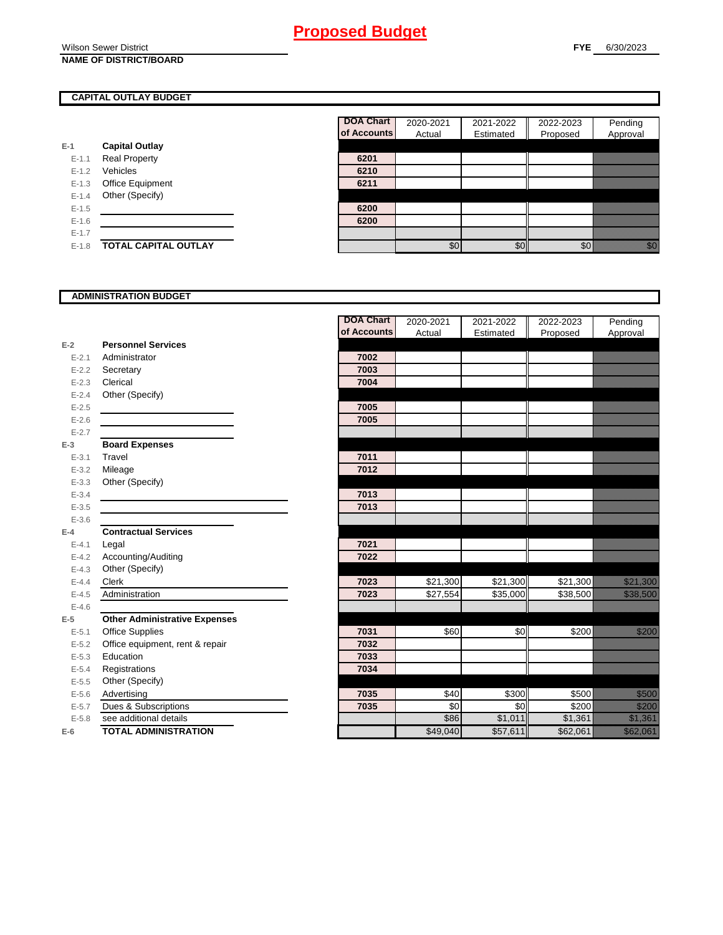Wilson Sewer District **NAME OF DISTRICT/BOARD**

## **CAPITAL OUTLAY BUDGET**

|           |                         | UI ACCOL |
|-----------|-------------------------|----------|
| E-1       | <b>Capital Outlay</b>   |          |
| $E - 1.1$ | <b>Real Property</b>    | 6201     |
| $E - 1.2$ | Vehicles                | 6210     |
| $E-1.3$   | <b>Office Equipment</b> | 6211     |
| $E - 1.4$ | Other (Specify)         |          |
| $E - 1.5$ |                         | 6200     |
| $E - 1.6$ |                         | 6200     |
| $E - 1.7$ |                         |          |
| $E-1.8$   | TOTAL CAPITAL OUTLAY    |          |

| <b>DOA Chart</b> | 2020-2021 | 2021-2022 | 2022-2023 | Pending  |
|------------------|-----------|-----------|-----------|----------|
| of Accounts      | Actual    | Estimated | Proposed  | Approval |
|                  |           |           |           |          |
| 6201             |           |           |           |          |
| 6210             |           |           |           |          |
| 6211             |           |           |           |          |
|                  |           |           |           |          |
| 6200             |           |           |           |          |
| 6200             |           |           |           |          |
|                  |           |           |           |          |
|                  | \$(       |           |           |          |

### **ADMINISTRATION BUDGET**

| of Accounts<br>Actual<br>Estimated<br>Proposed<br>Approval<br><b>Personnel Services</b><br>$E-2$<br>Administrator<br>7002<br>$E - 2.1$<br>7003<br>$E - 2.2$<br>Secretary<br>7004<br>Clerical<br>$E - 2.3$<br>Other (Specify)<br>$E - 2.4$<br>$E-2.5$<br>7005<br>7005<br>$E-2.6$<br>$E - 2.7$<br><b>Board Expenses</b><br>$E-3$<br>7011<br>Travel<br>$E - 3.1$<br>7012<br>$E - 3.2$<br>Mileage<br>$E - 3.3$<br>Other (Specify)<br>$E - 3.4$<br>7013<br>$E-3.5$<br>7013<br>$E - 3.6$<br><b>Contractual Services</b><br>$E-4$<br>7021<br>$E - 4.1$<br>Legal<br>Accounting/Auditing<br>7022<br>$E - 4.2$<br>Other (Specify)<br>$E-4.3$<br>\$21,300<br>7023<br>\$21,300<br>\$21,300<br><u> Karlin Sarajan (</u><br>Clerk<br>$E - 4.4$<br>7023<br>\$27,554<br>\$35,000<br>\$38,500<br><u>till andra sta</u><br>Administration<br>$E - 4.5$<br>$E - 4.6$<br><b>Other Administrative Expenses</b><br>$E-5$<br>\$0<br>elli politika<br>Mandala<br><b>Office Supplies</b><br>\$60<br>\$200<br>7031<br>$E - 5.1$<br>Office equipment, rent & repair<br>7032<br>$E - 5.2$<br>Education<br>7033<br>$E-5.3$<br>7034<br>Registrations<br>$E - 5.4$<br>Other (Specify)<br>$E-5.5$<br>\$300<br>\$40<br>\$500<br><u>ti ka</u><br>Advertising<br>7035<br>$E-5.6$<br>Dues & Subscriptions<br>\$0<br>\$0<br>\$200<br>7035<br><u>till till sta</u><br>$E - 5.7$<br>a katika kalendari ya katika katika alifuwa alifuwa alifuwa alifuwa alifuwa alifuwa alifuwa alifuwa alifuwa a<br>Katika katika katika katika katika katika katika katika katika katika katika katika katika katika katika katik<br>\$86<br>\$1,011<br>see additional details<br>\$1,361<br>$E - 5.8$<br>\$57,611<br><u>tik ka</u><br><b>TOTAL ADMINISTRATION</b><br>\$49,040<br>\$62,061<br>$E-6$ |  | <b>DOA Chart</b> | 2020-2021 | 2021-2022 | 2022-2023 | Pending |
|------------------------------------------------------------------------------------------------------------------------------------------------------------------------------------------------------------------------------------------------------------------------------------------------------------------------------------------------------------------------------------------------------------------------------------------------------------------------------------------------------------------------------------------------------------------------------------------------------------------------------------------------------------------------------------------------------------------------------------------------------------------------------------------------------------------------------------------------------------------------------------------------------------------------------------------------------------------------------------------------------------------------------------------------------------------------------------------------------------------------------------------------------------------------------------------------------------------------------------------------------------------------------------------------------------------------------------------------------------------------------------------------------------------------------------------------------------------------------------------------------------------------------------------------------------------------------------------------------------------------------------------------------------------------------------------------------------------------------------------------|--|------------------|-----------|-----------|-----------|---------|
|                                                                                                                                                                                                                                                                                                                                                                                                                                                                                                                                                                                                                                                                                                                                                                                                                                                                                                                                                                                                                                                                                                                                                                                                                                                                                                                                                                                                                                                                                                                                                                                                                                                                                                                                                |  |                  |           |           |           |         |
|                                                                                                                                                                                                                                                                                                                                                                                                                                                                                                                                                                                                                                                                                                                                                                                                                                                                                                                                                                                                                                                                                                                                                                                                                                                                                                                                                                                                                                                                                                                                                                                                                                                                                                                                                |  |                  |           |           |           |         |
|                                                                                                                                                                                                                                                                                                                                                                                                                                                                                                                                                                                                                                                                                                                                                                                                                                                                                                                                                                                                                                                                                                                                                                                                                                                                                                                                                                                                                                                                                                                                                                                                                                                                                                                                                |  |                  |           |           |           |         |
|                                                                                                                                                                                                                                                                                                                                                                                                                                                                                                                                                                                                                                                                                                                                                                                                                                                                                                                                                                                                                                                                                                                                                                                                                                                                                                                                                                                                                                                                                                                                                                                                                                                                                                                                                |  |                  |           |           |           |         |
|                                                                                                                                                                                                                                                                                                                                                                                                                                                                                                                                                                                                                                                                                                                                                                                                                                                                                                                                                                                                                                                                                                                                                                                                                                                                                                                                                                                                                                                                                                                                                                                                                                                                                                                                                |  |                  |           |           |           |         |
|                                                                                                                                                                                                                                                                                                                                                                                                                                                                                                                                                                                                                                                                                                                                                                                                                                                                                                                                                                                                                                                                                                                                                                                                                                                                                                                                                                                                                                                                                                                                                                                                                                                                                                                                                |  |                  |           |           |           |         |
|                                                                                                                                                                                                                                                                                                                                                                                                                                                                                                                                                                                                                                                                                                                                                                                                                                                                                                                                                                                                                                                                                                                                                                                                                                                                                                                                                                                                                                                                                                                                                                                                                                                                                                                                                |  |                  |           |           |           |         |
|                                                                                                                                                                                                                                                                                                                                                                                                                                                                                                                                                                                                                                                                                                                                                                                                                                                                                                                                                                                                                                                                                                                                                                                                                                                                                                                                                                                                                                                                                                                                                                                                                                                                                                                                                |  |                  |           |           |           |         |
|                                                                                                                                                                                                                                                                                                                                                                                                                                                                                                                                                                                                                                                                                                                                                                                                                                                                                                                                                                                                                                                                                                                                                                                                                                                                                                                                                                                                                                                                                                                                                                                                                                                                                                                                                |  |                  |           |           |           |         |
|                                                                                                                                                                                                                                                                                                                                                                                                                                                                                                                                                                                                                                                                                                                                                                                                                                                                                                                                                                                                                                                                                                                                                                                                                                                                                                                                                                                                                                                                                                                                                                                                                                                                                                                                                |  |                  |           |           |           |         |
|                                                                                                                                                                                                                                                                                                                                                                                                                                                                                                                                                                                                                                                                                                                                                                                                                                                                                                                                                                                                                                                                                                                                                                                                                                                                                                                                                                                                                                                                                                                                                                                                                                                                                                                                                |  |                  |           |           |           |         |
|                                                                                                                                                                                                                                                                                                                                                                                                                                                                                                                                                                                                                                                                                                                                                                                                                                                                                                                                                                                                                                                                                                                                                                                                                                                                                                                                                                                                                                                                                                                                                                                                                                                                                                                                                |  |                  |           |           |           |         |
|                                                                                                                                                                                                                                                                                                                                                                                                                                                                                                                                                                                                                                                                                                                                                                                                                                                                                                                                                                                                                                                                                                                                                                                                                                                                                                                                                                                                                                                                                                                                                                                                                                                                                                                                                |  |                  |           |           |           |         |
|                                                                                                                                                                                                                                                                                                                                                                                                                                                                                                                                                                                                                                                                                                                                                                                                                                                                                                                                                                                                                                                                                                                                                                                                                                                                                                                                                                                                                                                                                                                                                                                                                                                                                                                                                |  |                  |           |           |           |         |
|                                                                                                                                                                                                                                                                                                                                                                                                                                                                                                                                                                                                                                                                                                                                                                                                                                                                                                                                                                                                                                                                                                                                                                                                                                                                                                                                                                                                                                                                                                                                                                                                                                                                                                                                                |  |                  |           |           |           |         |
|                                                                                                                                                                                                                                                                                                                                                                                                                                                                                                                                                                                                                                                                                                                                                                                                                                                                                                                                                                                                                                                                                                                                                                                                                                                                                                                                                                                                                                                                                                                                                                                                                                                                                                                                                |  |                  |           |           |           |         |
|                                                                                                                                                                                                                                                                                                                                                                                                                                                                                                                                                                                                                                                                                                                                                                                                                                                                                                                                                                                                                                                                                                                                                                                                                                                                                                                                                                                                                                                                                                                                                                                                                                                                                                                                                |  |                  |           |           |           |         |
|                                                                                                                                                                                                                                                                                                                                                                                                                                                                                                                                                                                                                                                                                                                                                                                                                                                                                                                                                                                                                                                                                                                                                                                                                                                                                                                                                                                                                                                                                                                                                                                                                                                                                                                                                |  |                  |           |           |           |         |
|                                                                                                                                                                                                                                                                                                                                                                                                                                                                                                                                                                                                                                                                                                                                                                                                                                                                                                                                                                                                                                                                                                                                                                                                                                                                                                                                                                                                                                                                                                                                                                                                                                                                                                                                                |  |                  |           |           |           |         |
|                                                                                                                                                                                                                                                                                                                                                                                                                                                                                                                                                                                                                                                                                                                                                                                                                                                                                                                                                                                                                                                                                                                                                                                                                                                                                                                                                                                                                                                                                                                                                                                                                                                                                                                                                |  |                  |           |           |           |         |
|                                                                                                                                                                                                                                                                                                                                                                                                                                                                                                                                                                                                                                                                                                                                                                                                                                                                                                                                                                                                                                                                                                                                                                                                                                                                                                                                                                                                                                                                                                                                                                                                                                                                                                                                                |  |                  |           |           |           |         |
|                                                                                                                                                                                                                                                                                                                                                                                                                                                                                                                                                                                                                                                                                                                                                                                                                                                                                                                                                                                                                                                                                                                                                                                                                                                                                                                                                                                                                                                                                                                                                                                                                                                                                                                                                |  |                  |           |           |           |         |
|                                                                                                                                                                                                                                                                                                                                                                                                                                                                                                                                                                                                                                                                                                                                                                                                                                                                                                                                                                                                                                                                                                                                                                                                                                                                                                                                                                                                                                                                                                                                                                                                                                                                                                                                                |  |                  |           |           |           |         |
|                                                                                                                                                                                                                                                                                                                                                                                                                                                                                                                                                                                                                                                                                                                                                                                                                                                                                                                                                                                                                                                                                                                                                                                                                                                                                                                                                                                                                                                                                                                                                                                                                                                                                                                                                |  |                  |           |           |           |         |
|                                                                                                                                                                                                                                                                                                                                                                                                                                                                                                                                                                                                                                                                                                                                                                                                                                                                                                                                                                                                                                                                                                                                                                                                                                                                                                                                                                                                                                                                                                                                                                                                                                                                                                                                                |  |                  |           |           |           |         |
|                                                                                                                                                                                                                                                                                                                                                                                                                                                                                                                                                                                                                                                                                                                                                                                                                                                                                                                                                                                                                                                                                                                                                                                                                                                                                                                                                                                                                                                                                                                                                                                                                                                                                                                                                |  |                  |           |           |           |         |
|                                                                                                                                                                                                                                                                                                                                                                                                                                                                                                                                                                                                                                                                                                                                                                                                                                                                                                                                                                                                                                                                                                                                                                                                                                                                                                                                                                                                                                                                                                                                                                                                                                                                                                                                                |  |                  |           |           |           |         |
|                                                                                                                                                                                                                                                                                                                                                                                                                                                                                                                                                                                                                                                                                                                                                                                                                                                                                                                                                                                                                                                                                                                                                                                                                                                                                                                                                                                                                                                                                                                                                                                                                                                                                                                                                |  |                  |           |           |           |         |
|                                                                                                                                                                                                                                                                                                                                                                                                                                                                                                                                                                                                                                                                                                                                                                                                                                                                                                                                                                                                                                                                                                                                                                                                                                                                                                                                                                                                                                                                                                                                                                                                                                                                                                                                                |  |                  |           |           |           |         |
|                                                                                                                                                                                                                                                                                                                                                                                                                                                                                                                                                                                                                                                                                                                                                                                                                                                                                                                                                                                                                                                                                                                                                                                                                                                                                                                                                                                                                                                                                                                                                                                                                                                                                                                                                |  |                  |           |           |           |         |
|                                                                                                                                                                                                                                                                                                                                                                                                                                                                                                                                                                                                                                                                                                                                                                                                                                                                                                                                                                                                                                                                                                                                                                                                                                                                                                                                                                                                                                                                                                                                                                                                                                                                                                                                                |  |                  |           |           |           |         |
|                                                                                                                                                                                                                                                                                                                                                                                                                                                                                                                                                                                                                                                                                                                                                                                                                                                                                                                                                                                                                                                                                                                                                                                                                                                                                                                                                                                                                                                                                                                                                                                                                                                                                                                                                |  |                  |           |           |           |         |
|                                                                                                                                                                                                                                                                                                                                                                                                                                                                                                                                                                                                                                                                                                                                                                                                                                                                                                                                                                                                                                                                                                                                                                                                                                                                                                                                                                                                                                                                                                                                                                                                                                                                                                                                                |  |                  |           |           |           |         |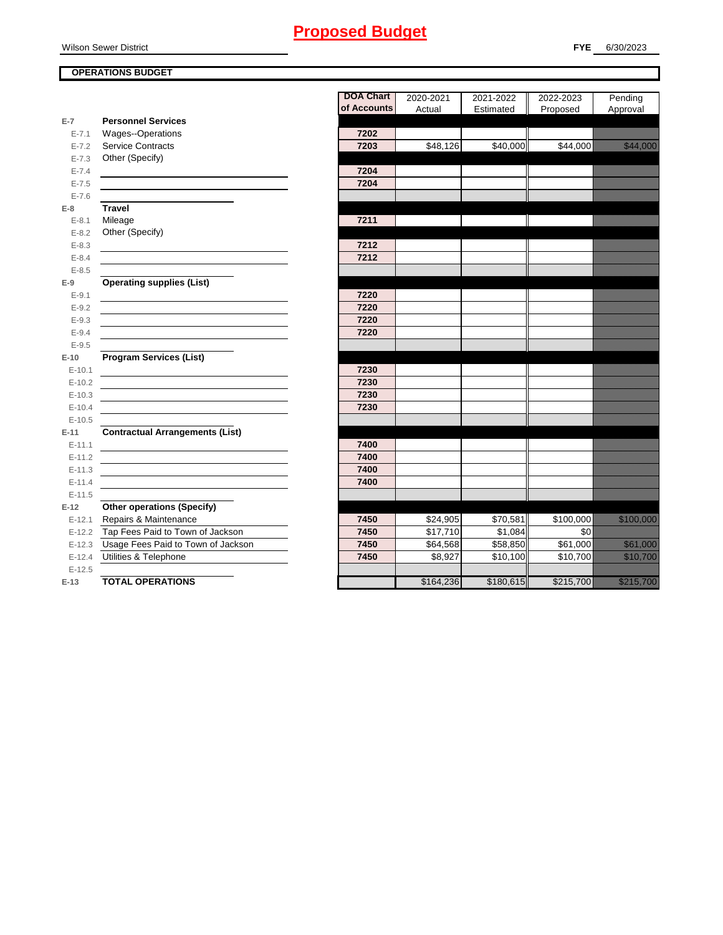Wilson Sewer District

## **OPERATIONS BUDGET**

|            |                                        | <b>DOA Chart</b> | 2020-2021 | 2021-2022 | 2022-2023            |
|------------|----------------------------------------|------------------|-----------|-----------|----------------------|
|            |                                        | of Accounts      | Actual    | Estimated | Proposed             |
| $E-7$      | <b>Personnel Services</b>              |                  |           |           |                      |
| $E - 7.1$  | Wages--Operations                      | 7202             |           |           |                      |
| $E - 7.2$  | <b>Service Contracts</b>               | 7203             | \$48,126  | \$40,000  | $\overline{$}44,000$ |
| $E - 7.3$  | Other (Specify)                        |                  |           |           |                      |
| $E - 7.4$  |                                        | 7204             |           |           |                      |
| $E - 7.5$  |                                        | 7204             |           |           |                      |
| $E - 7.6$  |                                        |                  |           |           |                      |
| $E-8$      | <b>Travel</b>                          |                  |           |           |                      |
| $E - 8.1$  | Mileage                                | 7211             |           |           |                      |
| $E - 8.2$  | Other (Specify)                        |                  |           |           |                      |
| $E - 8.3$  |                                        | 7212             |           |           |                      |
| $E - 8.4$  |                                        | 7212             |           |           |                      |
| $E - 8.5$  |                                        |                  |           |           |                      |
| $E-9$      | <b>Operating supplies (List)</b>       |                  |           |           |                      |
| $E - 9.1$  |                                        | 7220             |           |           |                      |
| $E - 9.2$  |                                        | 7220             |           |           |                      |
| $E - 9.3$  |                                        | 7220             |           |           |                      |
| $E-9.4$    |                                        | 7220             |           |           |                      |
| $E-9.5$    |                                        |                  |           |           |                      |
| $E-10$     | <b>Program Services (List)</b>         |                  |           |           |                      |
| $E-10.1$   |                                        | 7230             |           |           |                      |
| $E-10.2$   |                                        | 7230             |           |           |                      |
| $E-10.3$   |                                        | 7230             |           |           |                      |
| $E-10.4$   |                                        | 7230             |           |           |                      |
| $E-10.5$   |                                        |                  |           |           |                      |
| $E-11$     | <b>Contractual Arrangements (List)</b> |                  |           |           |                      |
| $E - 11.1$ |                                        | 7400             |           |           |                      |
| $E - 11.2$ |                                        | 7400             |           |           |                      |
| $E-11.3$   |                                        | 7400             |           |           |                      |
| $E - 11.4$ |                                        | 7400             |           |           |                      |
| $E-11.5$   |                                        |                  |           |           |                      |
| $E-12$     | <b>Other operations (Specify)</b>      |                  |           |           |                      |
| $E - 12.1$ | Repairs & Maintenance                  | 7450             | \$24,905  | \$70,581  | \$100,000            |
| $E-12.2$   | Tap Fees Paid to Town of Jackson       | 7450             | \$17,710  | \$1,084   | \$0                  |
| $E-12.3$   | Usage Fees Paid to Town of Jackson     | 7450             | \$64,568  | \$58,850  | \$61,000             |
| $E-12.4$   | Utilities & Telephone                  | 7450             | \$8,927   | \$10,100  | \$10,700             |
| $E-12.5$   |                                        |                  |           |           |                      |
| $E-13$     | <b>TOTAL OPERATIONS</b>                |                  | \$164,236 | \$180,615 | \$215,700            |

|            |                                        | <b>DOA Chart</b> | 2020-2021 | 2021-2022 | 2022-2023 | Pending                                                                                                               |
|------------|----------------------------------------|------------------|-----------|-----------|-----------|-----------------------------------------------------------------------------------------------------------------------|
|            |                                        | of Accounts      | Actual    | Estimated | Proposed  | Approval                                                                                                              |
| $E-7$      | <b>Personnel Services</b>              |                  |           |           |           |                                                                                                                       |
| $E - 7.1$  | Wages--Operations                      | 7202             |           |           |           |                                                                                                                       |
| $E - 7.2$  | <b>Service Contracts</b>               | 7203             | \$48,126  | \$40,000  | \$44,000  | <u> Karlin Sara</u>                                                                                                   |
| $E - 7.3$  | Other (Specify)                        |                  |           |           |           |                                                                                                                       |
| $E - 7.4$  |                                        | 7204             |           |           |           |                                                                                                                       |
| $E - 7.5$  |                                        | 7204             |           |           |           |                                                                                                                       |
| $E - 7.6$  |                                        |                  |           |           |           |                                                                                                                       |
| E-8        | <b>Travel</b>                          |                  |           |           |           |                                                                                                                       |
| $E - 8.1$  | Mileage                                | 7211             |           |           |           |                                                                                                                       |
| $E - 8.2$  | Other (Specify)                        |                  |           |           |           |                                                                                                                       |
| $E - 8.3$  |                                        | 7212             |           |           |           |                                                                                                                       |
| $E - 8.4$  |                                        | 7212             |           |           |           |                                                                                                                       |
| $E - 8.5$  |                                        |                  |           |           |           |                                                                                                                       |
| E-9        | <b>Operating supplies (List)</b>       |                  |           |           |           |                                                                                                                       |
| $E - 9.1$  |                                        | 7220             |           |           |           |                                                                                                                       |
| $E-9.2$    |                                        | 7220             |           |           |           |                                                                                                                       |
| $E - 9.3$  |                                        | 7220             |           |           |           |                                                                                                                       |
| $E - 9.4$  |                                        | 7220             |           |           |           |                                                                                                                       |
| $E - 9.5$  |                                        |                  |           |           |           |                                                                                                                       |
| $E-10$     | <b>Program Services (List)</b>         |                  |           |           |           |                                                                                                                       |
| $E-10.1$   |                                        | 7230             |           |           |           |                                                                                                                       |
| $E-10.2$   |                                        | 7230             |           |           |           |                                                                                                                       |
| $E-10.3$   |                                        | 7230             |           |           |           |                                                                                                                       |
| $E-10.4$   |                                        | 7230             |           |           |           |                                                                                                                       |
| $E-10.5$   |                                        |                  |           |           |           |                                                                                                                       |
| $E-11$     | <b>Contractual Arrangements (List)</b> |                  |           |           |           |                                                                                                                       |
| $E - 11.1$ |                                        | 7400             |           |           |           |                                                                                                                       |
| $E - 11.2$ |                                        | 7400             |           |           |           |                                                                                                                       |
| $E - 11.3$ |                                        | 7400             |           |           |           |                                                                                                                       |
| $E - 11.4$ |                                        | 7400             |           |           |           |                                                                                                                       |
| $E-11.5$   |                                        |                  |           |           |           |                                                                                                                       |
| $E-12$     | <b>Other operations (Specify)</b>      |                  |           |           |           |                                                                                                                       |
| $E-12.1$   | Repairs & Maintenance                  | 7450             | \$24,905  | \$70,581  | \$100,000 | a shekarar 200                                                                                                        |
| $E-12.2$   | Tap Fees Paid to Town of Jackson       | 7450             | \$17,710  | \$1,084   | \$0       |                                                                                                                       |
| $E-12.3$   | Usage Fees Paid to Town of Jackson     | 7450             | \$64,568  | \$58,850  | \$61,000  | <u> Karl Sara</u>                                                                                                     |
| $E-12.4$   | Utilities & Telephone                  | 7450             | \$8,927   | \$10,100  | \$10,700  | <u>istorialainen </u>                                                                                                 |
| $E-12.5$   |                                        |                  |           |           |           |                                                                                                                       |
| $E-13$     | <b>TOTAL OPERATIONS</b>                |                  | \$164,236 | \$180,615 | \$215,700 | <u>elle statistik on de statistik om de statistik om de statistik om de statistik om de statistik om de statistik</u> |
|            |                                        |                  |           |           |           |                                                                                                                       |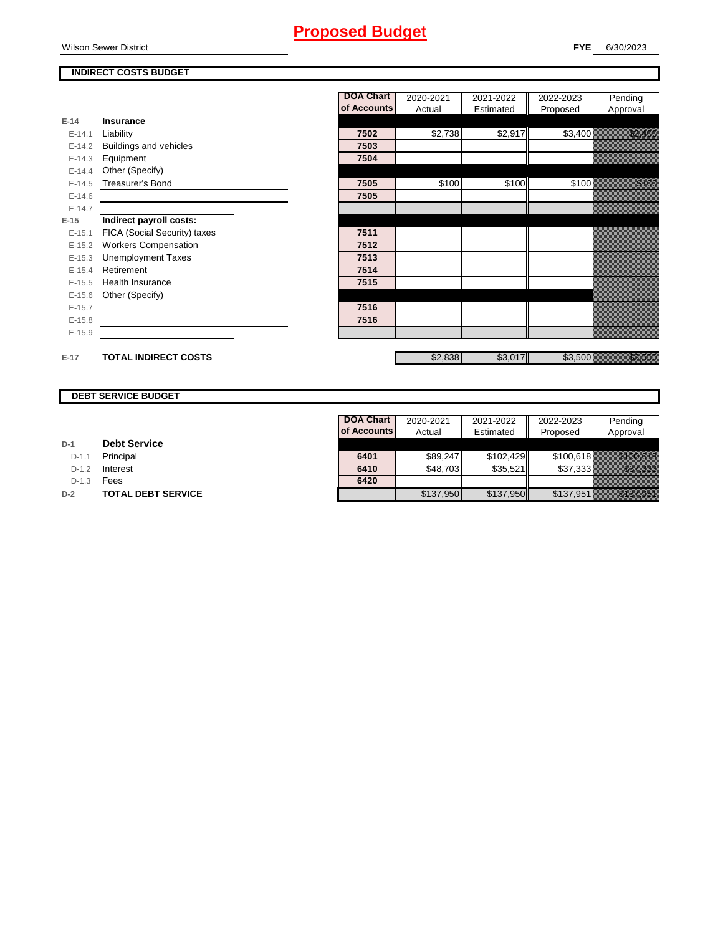Wilson Sewer District

## **INDIRECT COSTS BUDGET**

|          |                              | <b>DOA Chart</b> | 2020-2021 | 2021-2022 | 2022-2023 | Pending                                                                                                                                                                                                                          |
|----------|------------------------------|------------------|-----------|-----------|-----------|----------------------------------------------------------------------------------------------------------------------------------------------------------------------------------------------------------------------------------|
|          |                              | of Accounts      | Actual    | Estimated | Proposed  | Approval                                                                                                                                                                                                                         |
| $E-14$   | Insurance                    |                  |           |           |           |                                                                                                                                                                                                                                  |
| $E-14.1$ | Liability                    | 7502             | \$2,738   | \$2,917   | \$3,400   | <u>tionalist parallel</u>                                                                                                                                                                                                        |
| $E-14.2$ | Buildings and vehicles       | 7503             |           |           |           |                                                                                                                                                                                                                                  |
| $E-14.3$ | Equipment                    | 7504             |           |           |           |                                                                                                                                                                                                                                  |
| $E-14.4$ | Other (Specify)              |                  |           |           |           |                                                                                                                                                                                                                                  |
| $E-14.5$ | Treasurer's Bond             | 7505             | \$100     | \$100     | \$100     | en eller som kan                                                                                                                                                                                                                 |
| $E-14.6$ |                              | 7505             |           |           |           |                                                                                                                                                                                                                                  |
| $E-14.7$ |                              |                  |           |           |           |                                                                                                                                                                                                                                  |
| $E-15$   | Indirect payroll costs:      |                  |           |           |           |                                                                                                                                                                                                                                  |
| $E-15.1$ | FICA (Social Security) taxes | 7511             |           |           |           |                                                                                                                                                                                                                                  |
| $E-15.2$ | <b>Workers Compensation</b>  | 7512             |           |           |           |                                                                                                                                                                                                                                  |
| $E-15.3$ | <b>Unemployment Taxes</b>    | 7513             |           |           |           |                                                                                                                                                                                                                                  |
| $E-15.4$ | Retirement                   | 7514             |           |           |           |                                                                                                                                                                                                                                  |
| $E-15.5$ | <b>Health Insurance</b>      | 7515             |           |           |           |                                                                                                                                                                                                                                  |
| $E-15.6$ | Other (Specify)              |                  |           |           |           |                                                                                                                                                                                                                                  |
| $E-15.7$ |                              | 7516             |           |           |           |                                                                                                                                                                                                                                  |
| $E-15.8$ |                              | 7516             |           |           |           |                                                                                                                                                                                                                                  |
| $E-15.9$ |                              |                  |           |           |           |                                                                                                                                                                                                                                  |
|          |                              |                  |           |           |           |                                                                                                                                                                                                                                  |
| $E-17$   | <b>TOTAL INDIRECT COSTS</b>  |                  | \$2,838   | \$3,017   | \$3,500   | a katika katika katika katika katika katika katika katika katika katika katika katika katika katika katika kat<br>Katika katika katika katika katika katika katika katika katika katika katika katika katika katika katika katik |

### **DEBT SERVICE BUDGET**

| $D-1$ | <b>Debt Service</b> |  |  |
|-------|---------------------|--|--|
|-------|---------------------|--|--|

D-1.1 **Principal** 

**D-1.2 Interest** 

D-1.3 **Fees** 

**D-2 TOTAL DEBT SERVICE** 

| <b>DOA Chart</b> | 2020-2021 | 2021-2022 | 2022-2023 | Pending  |
|------------------|-----------|-----------|-----------|----------|
| of Accounts      | Actual    | Estimated | Proposed  | Approval |
|                  |           |           |           |          |
| 6401             | \$89,247  | \$102,429 | \$100,618 |          |
| 6410             | \$48,703  | \$35,521  | \$37,333  |          |
| 6420             |           |           |           |          |
|                  | \$137,950 | \$137,950 | \$137,951 |          |